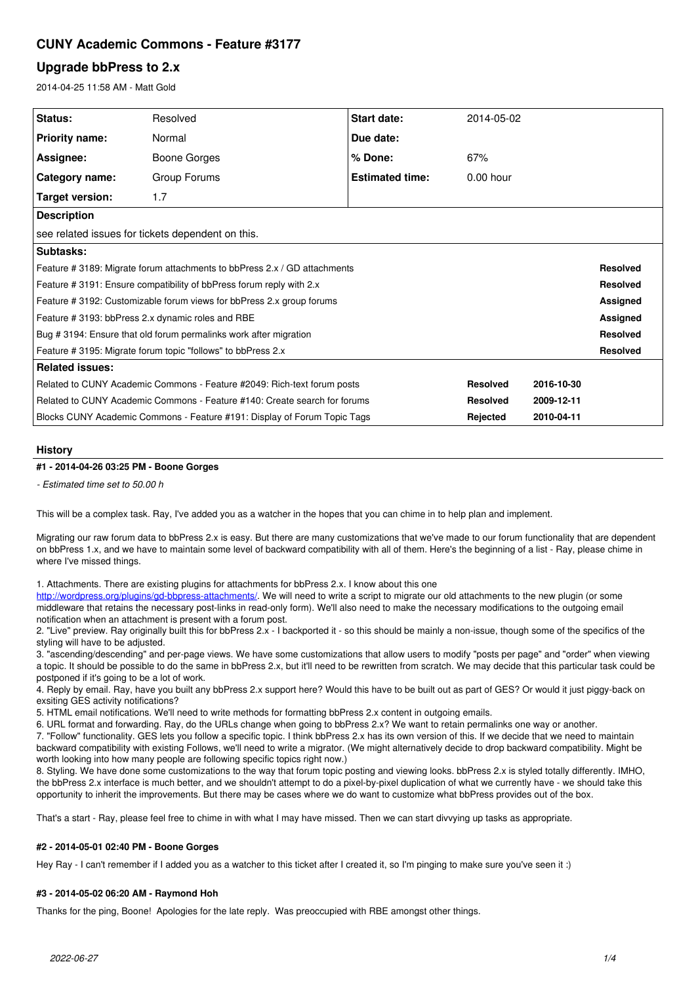# **CUNY Academic Commons - Feature #3177**

# **Upgrade bbPress to 2.x**

2014-04-25 11:58 AM - Matt Gold

| <b>Status:</b>                                                            | Resolved     | Start date:            | 2014-05-02      |            |                 |
|---------------------------------------------------------------------------|--------------|------------------------|-----------------|------------|-----------------|
| Priority name:                                                            | Normal       | Due date:              |                 |            |                 |
| <b>Assignee:</b>                                                          | Boone Gorges | % Done:                | 67%             |            |                 |
| Category name:                                                            | Group Forums | <b>Estimated time:</b> | $0.00$ hour     |            |                 |
| Target version:                                                           | 1.7          |                        |                 |            |                 |
| <b>Description</b>                                                        |              |                        |                 |            |                 |
| see related issues for tickets dependent on this.                         |              |                        |                 |            |                 |
| Subtasks:                                                                 |              |                        |                 |            |                 |
| Feature # 3189: Migrate forum attachments to bbPress 2.x / GD attachments |              |                        |                 |            | <b>Resolved</b> |
| Feature # 3191: Ensure compatibility of bbPress forum reply with 2.x      |              |                        |                 |            | <b>Resolved</b> |
| Feature # 3192: Customizable forum views for bbPress 2.x group forums     |              |                        |                 | Assigned   |                 |
| Feature # 3193: bbPress 2.x dynamic roles and RBE                         |              |                        |                 | Assigned   |                 |
| Bug # 3194: Ensure that old forum permalinks work after migration         |              |                        |                 |            | <b>Resolved</b> |
| Feature # 3195: Migrate forum topic "follows" to bbPress 2.x              |              |                        |                 |            | <b>Resolved</b> |
| <b>Related issues:</b>                                                    |              |                        |                 |            |                 |
| Related to CUNY Academic Commons - Feature #2049: Rich-text forum posts   |              |                        | <b>Resolved</b> | 2016-10-30 |                 |
| Related to CUNY Academic Commons - Feature #140: Create search for forums |              |                        | <b>Resolved</b> | 2009-12-11 |                 |
| Blocks CUNY Academic Commons - Feature #191: Display of Forum Topic Tags  |              |                        | Rejected        | 2010-04-11 |                 |

# **History**

# **#1 - 2014-04-26 03:25 PM - Boone Gorges**

*- Estimated time set to 50.00 h*

This will be a complex task. Ray, I've added you as a watcher in the hopes that you can chime in to help plan and implement.

Migrating our raw forum data to bbPress 2.x is easy. But there are many customizations that we've made to our forum functionality that are dependent on bbPress 1.x, and we have to maintain some level of backward compatibility with all of them. Here's the beginning of a list - Ray, please chime in where I've missed things.

1. Attachments. There are existing plugins for attachments for bbPress 2.x. I know about this one

<http://wordpress.org/plugins/gd-bbpress-attachments/>. We will need to write a script to migrate our old attachments to the new plugin (or some middleware that retains the necessary post-links in read-only form). We'll also need to make the necessary modifications to the outgoing email notification when an attachment is present with a forum post.

2. "Live" preview. Ray originally built this for bbPress 2.x - I backported it - so this should be mainly a non-issue, though some of the specifics of the styling will have to be adjusted.

3. "ascending/descending" and per-page views. We have some customizations that allow users to modify "posts per page" and "order" when viewing a topic. It should be possible to do the same in bbPress 2.x, but it'll need to be rewritten from scratch. We may decide that this particular task could be postponed if it's going to be a lot of work.

4. Reply by email. Ray, have you built any bbPress 2.x support here? Would this have to be built out as part of GES? Or would it just piggy-back on exsiting GES activity notifications?

5. HTML email notifications. We'll need to write methods for formatting bbPress 2.x content in outgoing emails.

6. URL format and forwarding. Ray, do the URLs change when going to bbPress 2.x? We want to retain permalinks one way or another.

7. "Follow" functionality. GES lets you follow a specific topic. I think bbPress 2.x has its own version of this. If we decide that we need to maintain backward compatibility with existing Follows, we'll need to write a migrator. (We might alternatively decide to drop backward compatibility. Might be worth looking into how many people are following specific topics right now.)

8. Styling. We have done some customizations to the way that forum topic posting and viewing looks. bbPress 2.x is styled totally differently. IMHO, the bbPress 2.x interface is much better, and we shouldn't attempt to do a pixel-by-pixel duplication of what we currently have - we should take this opportunity to inherit the improvements. But there may be cases where we do want to customize what bbPress provides out of the box.

That's a start - Ray, please feel free to chime in with what I may have missed. Then we can start divvying up tasks as appropriate.

# **#2 - 2014-05-01 02:40 PM - Boone Gorges**

Hey Ray - I can't remember if I added you as a watcher to this ticket after I created it, so I'm pinging to make sure you've seen it :)

## **#3 - 2014-05-02 06:20 AM - Raymond Hoh**

Thanks for the ping, Boone! Apologies for the late reply. Was preoccupied with RBE amongst other things.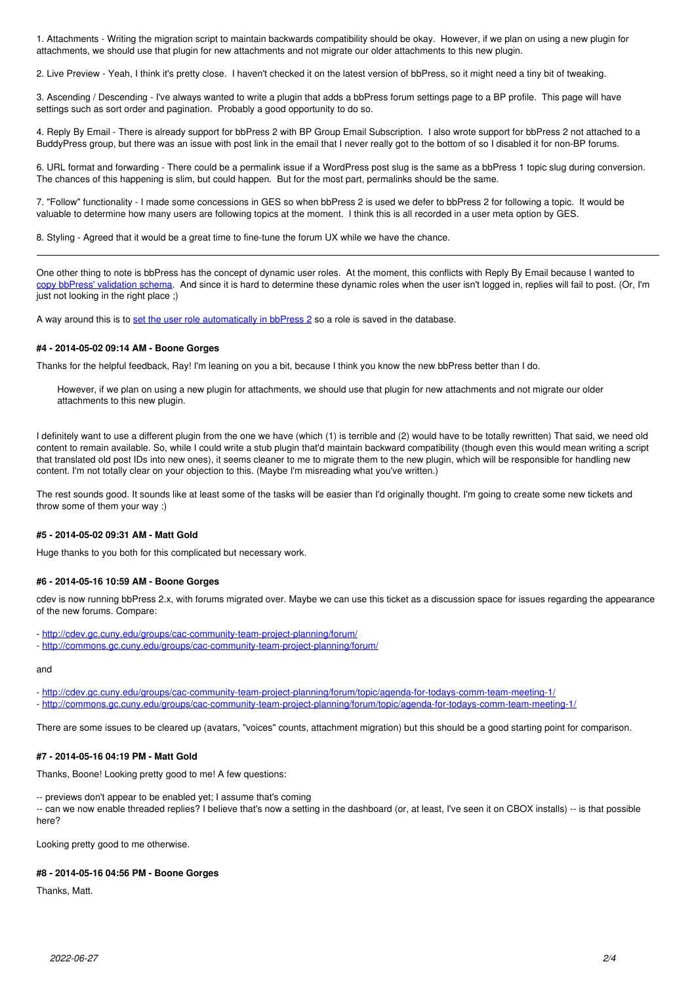1. Attachments - Writing the migration script to maintain backwards compatibility should be okay. However, if we plan on using a new plugin for attachments, we should use that plugin for new attachments and not migrate our older attachments to this new plugin.

2. Live Preview - Yeah, I think it's pretty close. I haven't checked it on the latest version of bbPress, so it might need a tiny bit of tweaking.

3. Ascending / Descending - I've always wanted to write a plugin that adds a bbPress forum settings page to a BP profile. This page will have settings such as sort order and pagination. Probably a good opportunity to do so.

4. Reply By Email - There is already support for bbPress 2 with BP Group Email Subscription. I also wrote support for bbPress 2 not attached to a BuddyPress group, but there was an issue with post link in the email that I never really got to the bottom of so I disabled it for non-BP forums.

6. URL format and forwarding - There could be a permalink issue if a WordPress post slug is the same as a bbPress 1 topic slug during conversion. The chances of this happening is slim, but could happen. But for the most part, permalinks should be the same.

7. "Follow" functionality - I made some concessions in GES so when bbPress 2 is used we defer to bbPress 2 for following a topic. It would be valuable to determine how many users are following topics at the moment. I think this is all recorded in a user meta option by GES.

8. Styling - Agreed that it would be a great time to fine-tune the forum UX while we have the chance.

One other thing to note is bbPress has the concept of dynamic user roles. At the moment, this conflicts with Reply By Email because I wanted to [copy bbPress' validation schema](https://github.com/r-a-y/bp-reply-by-email/blob/master/includes/bp-rbe-extend-bbpress.php#L276). And since it is hard to determine these dynamic roles when the user isn't logged in, replies will fail to post. (Or, I'm just not looking in the right place ;)

A way around this is to [set the user role automatically in bbPress 2](https://github.com/r-a-y/bp-reply-by-email/wiki/bbPress#2-my-users-are-receiving-a-you-do-not-have-the-ability-to-post-replies-email-when-trying-to-reply-via-email) so a role is saved in the database.

### **#4 - 2014-05-02 09:14 AM - Boone Gorges**

Thanks for the helpful feedback, Ray! I'm leaning on you a bit, because I think you know the new bbPress better than I do.

However, if we plan on using a new plugin for attachments, we should use that plugin for new attachments and not migrate our older attachments to this new plugin.

I definitely want to use a different plugin from the one we have (which (1) is terrible and (2) would have to be totally rewritten) That said, we need old content to remain available. So, while I could write a stub plugin that'd maintain backward compatibility (though even this would mean writing a script that translated old post IDs into new ones), it seems cleaner to me to migrate them to the new plugin, which will be responsible for handling new content. I'm not totally clear on your objection to this. (Maybe I'm misreading what you've written.)

The rest sounds good. It sounds like at least some of the tasks will be easier than I'd originally thought. I'm going to create some new tickets and throw some of them your way :)

## **#5 - 2014-05-02 09:31 AM - Matt Gold**

Huge thanks to you both for this complicated but necessary work.

## **#6 - 2014-05-16 10:59 AM - Boone Gorges**

cdev is now running bbPress 2.x, with forums migrated over. Maybe we can use this ticket as a discussion space for issues regarding the appearance of the new forums. Compare:

- -<http://cdev.gc.cuny.edu/groups/cac-community-team-project-planning/forum/>
- -<http://commons.gc.cuny.edu/groups/cac-community-team-project-planning/forum/>

#### and

- -<http://cdev.gc.cuny.edu/groups/cac-community-team-project-planning/forum/topic/agenda-for-todays-comm-team-meeting-1/>
- -<http://commons.gc.cuny.edu/groups/cac-community-team-project-planning/forum/topic/agenda-for-todays-comm-team-meeting-1/>

There are some issues to be cleared up (avatars, "voices" counts, attachment migration) but this should be a good starting point for comparison.

#### **#7 - 2014-05-16 04:19 PM - Matt Gold**

Thanks, Boone! Looking pretty good to me! A few questions:

-- previews don't appear to be enabled yet; I assume that's coming

-- can we now enable threaded replies? I believe that's now a setting in the dashboard (or, at least, I've seen it on CBOX installs) -- is that possible here?

Looking pretty good to me otherwise.

#### **#8 - 2014-05-16 04:56 PM - Boone Gorges**

Thanks, Matt.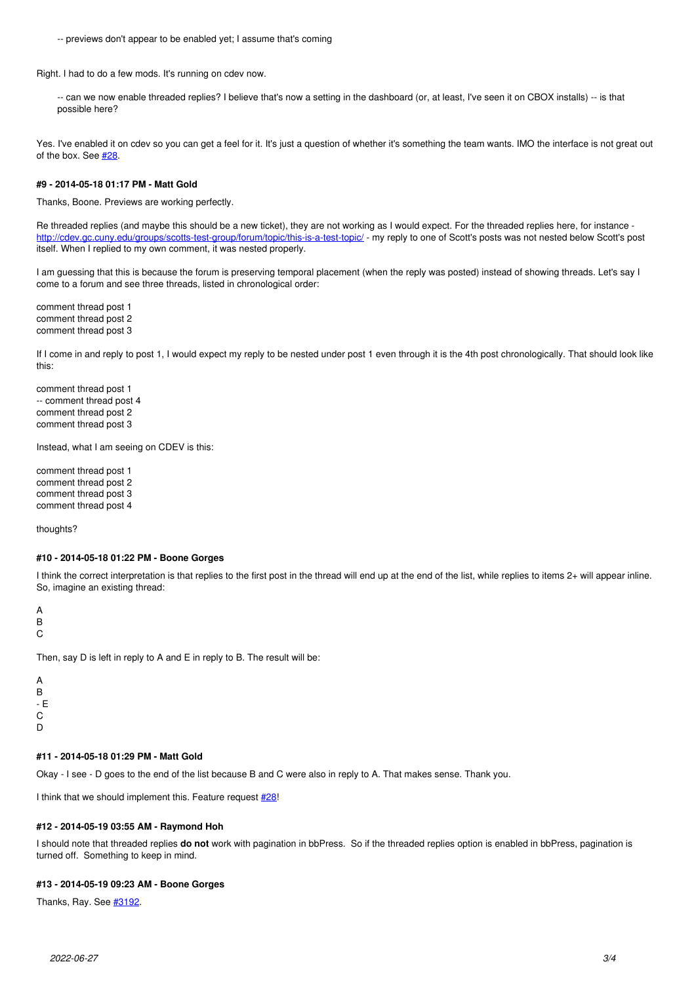-- previews don't appear to be enabled yet; I assume that's coming

Right. I had to do a few mods. It's running on cdev now.

-- can we now enable threaded replies? I believe that's now a setting in the dashboard (or, at least, I've seen it on CBOX installs) -- is that possible here?

Yes. I've enabled it on cdev so you can get a feel for it. It's just a question of whether it's something the team wants. IMO the interface is not great out of the box. See  $#28$ .

# **#9 - 2014-05-18 01:17 PM - Matt Gold**

Thanks, Boone. Previews are working perfectly.

Re threaded replies (and maybe this should be a new ticket), they are not working as I would expect. For the threaded replies here, for instance <http://cdev.gc.cuny.edu/groups/scotts-test-group/forum/topic/this-is-a-test-topic/> - my reply to one of Scott's posts was not nested below Scott's post itself. When I replied to my own comment, it was nested properly.

I am guessing that this is because the forum is preserving temporal placement (when the reply was posted) instead of showing threads. Let's say I come to a forum and see three threads, listed in chronological order:

comment thread post 1 comment thread post 2 comment thread post 3

If I come in and reply to post 1, I would expect my reply to be nested under post 1 even through it is the 4th post chronologically. That should look like this:

comment thread post 1 -- comment thread post 4 comment thread post 2 comment thread post 3

Instead, what I am seeing on CDEV is this:

comment thread post 1 comment thread post 2 comment thread post 3 comment thread post 4

thoughts?

## **#10 - 2014-05-18 01:22 PM - Boone Gorges**

I think the correct interpretation is that replies to the first post in the thread will end up at the end of the list, while replies to items 2+ will appear inline. So, imagine an existing thread:

A B

C

Then, say D is left in reply to A and E in reply to B. The result will be:

A B - E  $\mathcal{C}$ D

## **#11 - 2014-05-18 01:29 PM - Matt Gold**

Okay - I see - D goes to the end of the list because B and C were also in reply to A. That makes sense. Thank you.

I think that we should implement this. Feature request  $\frac{\#28!}{4!}$ 

## **#12 - 2014-05-19 03:55 AM - Raymond Hoh**

I should note that threaded replies **do not** work with pagination in bbPress. So if the threaded replies option is enabled in bbPress, pagination is turned off. Something to keep in mind.

## **#13 - 2014-05-19 09:23 AM - Boone Gorges**

Thanks, Ray. See [#3192](https://redmine.gc.cuny.edu/issues/3192).